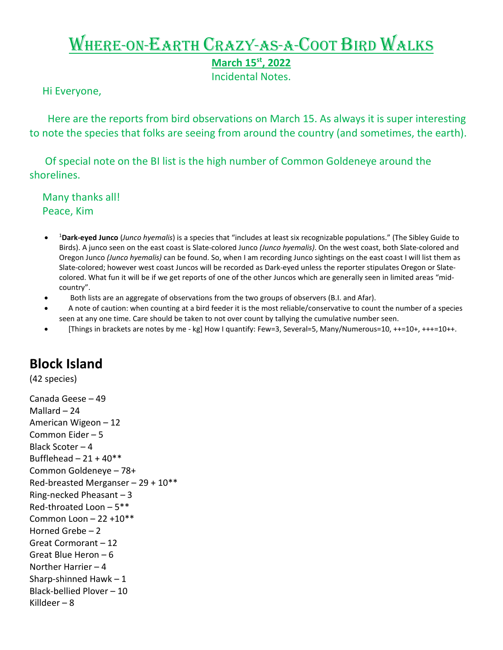## Where-on-Earth Crazy-as-a-Coot Bird Walks

**March 15st, 2022** 

Incidental Notes.

Hi Everyone,

 Here are the reports from bird observations on March 15. As always it is super interesting to note the species that folks are seeing from around the country (and sometimes, the earth).

 Of special note on the BI list is the high number of Common Goldeneye around the shorelines.

 Many thanks all! Peace, Kim

- <sup>1</sup> **Dark-eyed Junco** (*Junco hyemalis*) is a species that "includes at least six recognizable populations." (The Sibley Guide to Birds). A junco seen on the east coast is Slate-colored Junco *(Junco hyemalis)*. On the west coast, both Slate-colored and Oregon Junco *(Junco hyemalis)* can be found. So, when I am recording Junco sightings on the east coast I will list them as Slate-colored; however west coast Juncos will be recorded as Dark-eyed unless the reporter stipulates Oregon or Slatecolored. What fun it will be if we get reports of one of the other Juncos which are generally seen in limited areas "midcountry".
- Both lists are an aggregate of observations from the two groups of observers (B.I. and Afar).
- A note of caution: when counting at a bird feeder it is the most reliable/conservative to count the number of a species seen at any one time. Care should be taken to not over count by tallying the cumulative number seen.
- [Things in brackets are notes by me kg] How I quantify: Few=3, Several=5, Many/Numerous=10, ++=10+, +++=10++.

## **Block Island**

(42 species)

Canada Geese – 49 Mallard – 24 American Wigeon – 12 Common Eider – 5 Black Scoter – 4 Bufflehead  $-21 + 40**$ Common Goldeneye – 78+ Red-breasted Merganser – 29 + 10\*\* Ring-necked Pheasant – 3 Red-throated Loon – 5\*\* Common Loon – 22 +10\*\* Horned Grebe – 2 Great Cormorant – 12 Great Blue Heron – 6 Norther Harrier – 4 Sharp-shinned Hawk – 1 Black-bellied Plover – 10 Killdeer – 8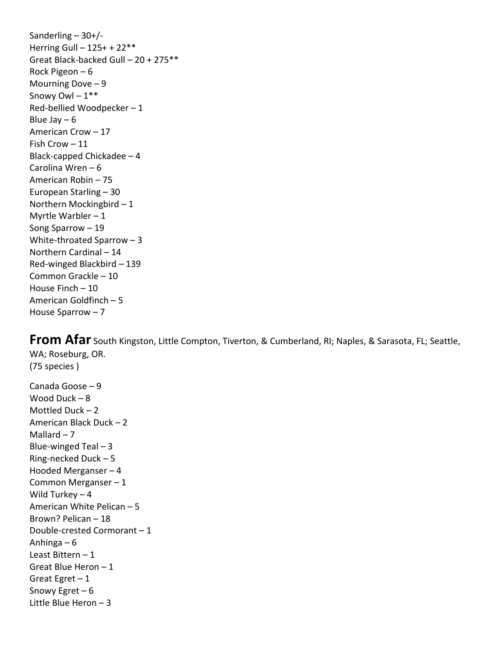Sanderling  $-30+/-$ Herring Gull – 125+ + 22\*\* Great Black-backed Gull – 20 + 275\*\* Rock Pigeon – 6 Mourning Dove – 9 Snowy Owl  $-1***$ Red-bellied Woodpecker – 1 Blue Jay  $-6$ American Crow – 17 Fish Crow – 11 Black-capped Chickadee – 4 Carolina Wren – 6 American Robin – 75 European Starling – 30 Northern Mockingbird – 1 Myrtle Warbler – 1 Song Sparrow – 19 White-throated Sparrow – 3 Northern Cardinal – 14 Red-winged Blackbird – 139 Common Grackle – 10 House Finch – 10 American Goldfinch – 5 House Sparrow – 7

**From Afar** South Kingston, Little Compton, Tiverton, & Cumberland, RI; Naples, & Sarasota, FL; Seattle, WA; Roseburg, OR. (75 species ) Canada Goose – 9

Wood Duck – 8 Mottled Duck – 2 American Black Duck – 2 Mallard  $-7$ Blue-winged Teal  $-3$ Ring-necked Duck – 5 Hooded Merganser – 4 Common Merganser – 1 Wild Turkey – 4 American White Pelican – 5 Brown? Pelican – 18 Double-crested Cormorant – 1 Anhinga – 6 Least Bittern – 1 Great Blue Heron – 1 Great Egret  $-1$ Snowy Egret – 6 Little Blue Heron – 3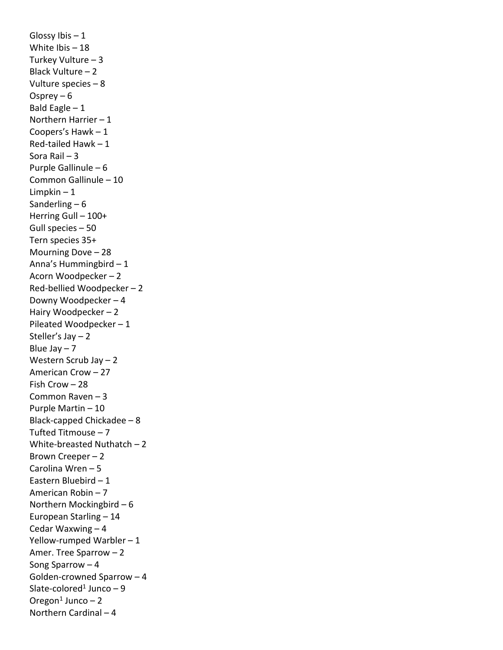Glossy Ibis  $-1$ White Ibis – 18 Turkey Vulture – 3 Black Vulture – 2 Vulture species – 8 Osprey – 6 Bald Eagle  $-1$ Northern Harrier – 1 Coopers's Hawk – 1 Red-tailed Hawk – 1 Sora Rail – 3 Purple Gallinule – 6 Common Gallinule – 10 Limpkin – 1 Sanderling  $-6$ Herring Gull – 100+ Gull species – 50 Tern species 35+ Mourning Dove – 28 Anna's Hummingbird – 1 Acorn Woodpecker – 2 Red-bellied Woodpecker – 2 Downy Woodpecker – 4 Hairy Woodpecker – 2 Pileated Woodpecker – 1 Steller's Jay – 2 Blue Jay  $-7$ Western Scrub Jay – 2 American Crow – 27 Fish Crow – 28 Common Raven – 3 Purple Martin – 10 Black-capped Chickadee – 8 Tufted Titmouse – 7 White-breasted Nuthatch – 2 Brown Creeper – 2 Carolina Wren – 5 Eastern Bluebird – 1 American Robin – 7 Northern Mockingbird – 6 European Starling – 14 Cedar Waxwing – 4 Yellow-rumped Warbler – 1 Amer. Tree Sparrow – 2 Song Sparrow – 4 Golden-crowned Sparrow – 4 Slate-colored<sup>1</sup> Junco  $-9$ Oregon $1$  Junco – 2 Northern Cardinal – 4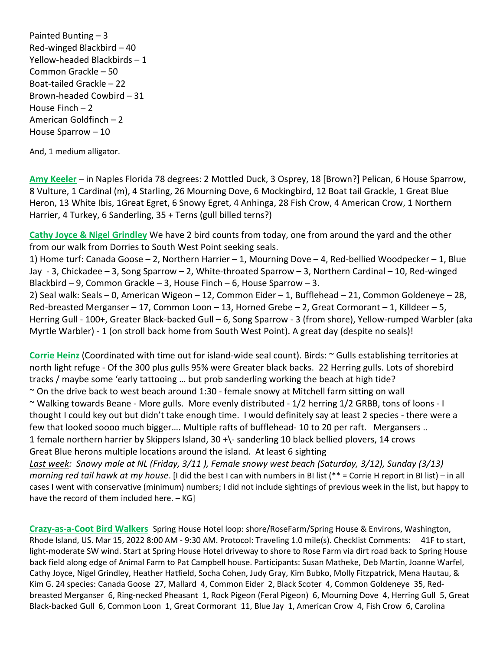Painted Bunting – 3 Red-winged Blackbird – 40 Yellow-headed Blackbirds – 1 Common Grackle – 50 Boat-tailed Grackle – 22 Brown-headed Cowbird – 31 House Finch – 2 American Goldfinch – 2 House Sparrow – 10

And, 1 medium alligator.

**Amy Keeler** – in Naples Florida 78 degrees: 2 Mottled Duck, 3 Osprey, 18 [Brown?] Pelican, 6 House Sparrow, 8 Vulture, 1 Cardinal (m), 4 Starling, 26 Mourning Dove, 6 Mockingbird, 12 Boat tail Grackle, 1 Great Blue Heron, 13 White Ibis, 1Great Egret, 6 Snowy Egret, 4 Anhinga, 28 Fish Crow, 4 American Crow, 1 Northern Harrier, 4 Turkey, 6 Sanderling, 35 + Terns (gull billed terns?)

**Cathy Joyce & Nigel Grindley** We have 2 bird counts from today, one from around the yard and the other from our walk from Dorries to South West Point seeking seals.

1) Home turf: Canada Goose – 2, Northern Harrier – 1, Mourning Dove – 4, Red-bellied Woodpecker – 1, Blue Jay - 3, Chickadee – 3, Song Sparrow – 2, White-throated Sparrow – 3, Northern Cardinal – 10, Red-winged Blackbird – 9, Common Grackle – 3, House Finch – 6, House Sparrow – 3.

2) Seal walk: Seals – 0, American Wigeon – 12, Common Eider – 1, Bufflehead – 21, Common Goldeneye – 28, Red-breasted Merganser – 17, Common Loon – 13, Horned Grebe – 2, Great Cormorant – 1, Killdeer – 5, Herring Gull - 100+, Greater Black-backed Gull – 6, Song Sparrow - 3 (from shore), Yellow-rumped Warbler (aka Myrtle Warbler) - 1 (on stroll back home from South West Point). A great day (despite no seals)!

**Corrie Heinz** (Coordinated with time out for island-wide seal count). Birds: ~ Gulls establishing territories at north light refuge - Of the 300 plus gulls 95% were Greater black backs. 22 Herring gulls. Lots of shorebird tracks / maybe some 'early tattooing … but prob sanderling working the beach at high tide?  $\sim$  On the drive back to west beach around 1:30 - female snowy at Mitchell farm sitting on wall ~ Walking towards Beane - More gulls. More evenly distributed - 1/2 herring 1/2 GRBB, tons of loons - I thought I could key out but didn't take enough time. I would definitely say at least 2 species - there were a few that looked soooo much bigger…. Multiple rafts of bufflehead- 10 to 20 per raft. Mergansers .. 1 female northern harrier by Skippers Island, 30 +\- sanderling 10 black bellied plovers, 14 crows Great Blue herons multiple locations around the island. At least 6 sighting *Last week: Snowy male at NL (Friday, 3/11 ), Female snowy west beach (Saturday, 3/12), Sunday (3/13) morning red tail hawk at my house*. [I did the best I can with numbers in BI list (\*\* = Corrie H report in BI list) – in all cases I went with conservative (minimum) numbers; I did not include sightings of previous week in the list, but happy to have the record of them included here. - KG]

**Crazy-as-a-Coot Bird Walkers** Spring House Hotel loop: shore/RoseFarm/Spring House & Environs, Washington, Rhode Island, US. Mar 15, 2022 8:00 AM - 9:30 AM. Protocol: Traveling 1.0 mile(s). Checklist Comments: 41F to start, light-moderate SW wind. Start at Spring House Hotel driveway to shore to Rose Farm via dirt road back to Spring House back field along edge of Animal Farm to Pat Campbell house. Participants: Susan Matheke, Deb Martin, Joanne Warfel, Cathy Joyce, Nigel Grindley, Heather Hatfield, Socha Cohen, Judy Gray, Kim Bubko, Molly Fitzpatrick, Mena Hautau, & Kim G. 24 species: Canada Goose 27, Mallard 4, Common Eider 2, Black Scoter 4, Common Goldeneye 35, Redbreasted Merganser 6, Ring-necked Pheasant 1, Rock Pigeon (Feral Pigeon) 6, Mourning Dove 4, Herring Gull 5, Great Black-backed Gull 6, Common Loon 1, Great Cormorant 11, Blue Jay 1, American Crow 4, Fish Crow 6, Carolina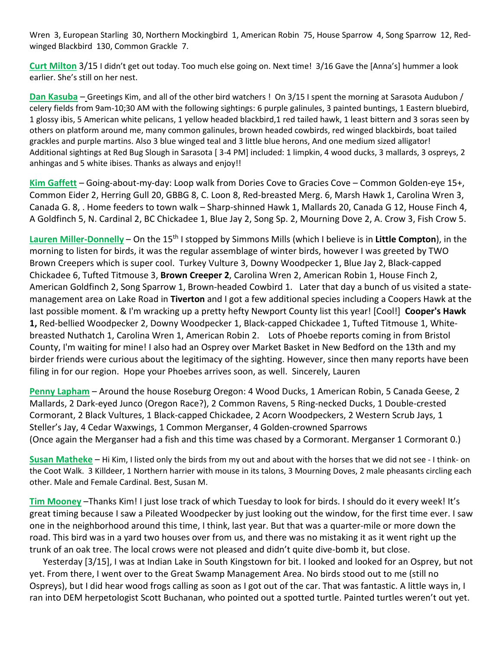Wren 3, European Starling 30, Northern Mockingbird 1, American Robin 75, House Sparrow 4, Song Sparrow 12, Redwinged Blackbird 130, Common Grackle 7.

**Curt Milton** 3/15 I didn't get out today. Too much else going on. Next time! 3/16 Gave the [Anna's] hummer a look earlier. She's still on her nest.

**Dan Kasuba** – Greetings Kim, and all of the other bird watchers ! On 3/15 I spent the morning at Sarasota Audubon / celery fields from 9am-10;30 AM with the following sightings: 6 purple galinules, 3 painted buntings, 1 Eastern bluebird, 1 glossy ibis, 5 American white pelicans, 1 yellow headed blackbird,1 red tailed hawk, 1 least bittern and 3 soras seen by others on platform around me, many common galinules, brown headed cowbirds, red winged blackbirds, boat tailed grackles and purple martins. Also 3 blue winged teal and 3 little blue herons, And one medium sized alligator! Additional sightings at Red Bug Slough in Sarasota [ 3-4 PM] included: 1 limpkin, 4 wood ducks, 3 mallards, 3 ospreys, 2 anhingas and 5 white ibises. Thanks as always and enjoy!!

**Kim Gaffett** – Going-about-my-day: Loop walk from Dories Cove to Gracies Cove – Common Golden-eye 15+, Common Eider 2, Herring Gull 20, GBBG 8, C. Loon 8, Red-breasted Merg. 6, Marsh Hawk 1, Carolina Wren 3, Canada G. 8, . Home feeders to town walk – Sharp-shinned Hawk 1, Mallards 20, Canada G 12, House Finch 4, A Goldfinch 5, N. Cardinal 2, BC Chickadee 1, Blue Jay 2, Song Sp. 2, Mourning Dove 2, A. Crow 3, Fish Crow 5.

**Lauren Miller-Donnelly** – On the 15th I stopped by Simmons Mills (which I believe is in **Little Compton**), in the morning to listen for birds, it was the regular assemblage of winter birds, however I was greeted by TWO Brown Creepers which is super cool. Turkey Vulture 3, Downy Woodpecker 1, Blue Jay 2, Black-capped Chickadee 6, Tufted Titmouse 3, **Brown Creeper 2**, Carolina Wren 2, American Robin 1, House Finch 2, American Goldfinch 2, Song Sparrow 1, Brown-headed Cowbird 1. Later that day a bunch of us visited a statemanagement area on Lake Road in **Tiverton** and I got a few additional species including a Coopers Hawk at the last possible moment. & I'm wracking up a pretty hefty Newport County list this year! [Cool!] **Cooper's Hawk 1,** Red-bellied Woodpecker 2, Downy Woodpecker 1, Black-capped Chickadee 1, Tufted Titmouse 1, Whitebreasted Nuthatch 1, Carolina Wren 1, American Robin 2. Lots of Phoebe reports coming in from Bristol County, I'm waiting for mine! I also had an Osprey over Market Basket in New Bedford on the 13th and my birder friends were curious about the legitimacy of the sighting. However, since then many reports have been filing in for our region. Hope your Phoebes arrives soon, as well. Sincerely, Lauren

**Penny Lapham** – Around the house Roseburg Oregon: 4 Wood Ducks, 1 American Robin, 5 Canada Geese, 2 Mallards, 2 Dark-eyed Junco (Oregon Race?), 2 Common Ravens, 5 Ring-necked Ducks, 1 Double-crested Cormorant, 2 Black Vultures, 1 Black-capped Chickadee, 2 Acorn Woodpeckers, 2 Western Scrub Jays, 1 Steller's Jay, 4 Cedar Waxwings, 1 Common Merganser, 4 Golden-crowned Sparrows (Once again the Merganser had a fish and this time was chased by a Cormorant. Merganser 1 Cormorant 0.)

**Susan Matheke** – Hi Kim, I listed only the birds from my out and about with the horses that we did not see - I think- on the Coot Walk. 3 Killdeer, 1 Northern harrier with mouse in its talons, 3 Mourning Doves, 2 male pheasants circling each other. Male and Female Cardinal. Best, Susan M.

**Tim Mooney** –Thanks Kim! I just lose track of which Tuesday to look for birds. I should do it every week! It's great timing because I saw a Pileated Woodpecker by just looking out the window, for the first time ever. I saw one in the neighborhood around this time, I think, last year. But that was a quarter-mile or more down the road. This bird was in a yard two houses over from us, and there was no mistaking it as it went right up the trunk of an oak tree. The local crows were not pleased and didn't quite dive-bomb it, but close.

 Yesterday [3/15], I was at Indian Lake in South Kingstown for bit. I looked and looked for an Osprey, but not yet. From there, I went over to the Great Swamp Management Area. No birds stood out to me (still no Ospreys), but I did hear wood frogs calling as soon as I got out of the car. That was fantastic. A little ways in, I ran into DEM herpetologist Scott Buchanan, who pointed out a spotted turtle. Painted turtles weren't out yet.